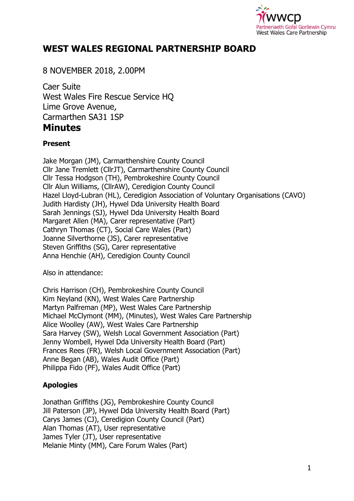

# **WEST WALES REGIONAL PARTNERSHIP BOARD**

8 NOVEMBER 2018, 2.00PM

Caer Suite West Wales Fire Rescue Service HQ Lime Grove Avenue, Carmarthen SA31 1SP **Minutes** 

#### **Present**

Jake Morgan (JM), Carmarthenshire County Council Cllr Jane Tremlett (CllrJT), Carmarthenshire County Council Cllr Tessa Hodgson (TH), Pembrokeshire County Council Cllr Alun Williams, (CllrAW), Ceredigion County Council Hazel Lloyd-Lubran (HL), Ceredigion Association of Voluntary Organisations (CAVO) Judith Hardisty (JH), Hywel Dda University Health Board Sarah Jennings (SJ), Hywel Dda University Health Board Margaret Allen (MA), Carer representative (Part) Cathryn Thomas (CT), Social Care Wales (Part) Joanne Silverthorne (JS), Carer representative Steven Griffiths (SG), Carer representative Anna Henchie (AH), Ceredigion County Council

Also in attendance:

Chris Harrison (CH), Pembrokeshire County Council Kim Neyland (KN), West Wales Care Partnership Martyn Palfreman (MP), West Wales Care Partnership Michael McClymont (MM), (Minutes), West Wales Care Partnership Alice Woolley (AW), West Wales Care Partnership Sara Harvey (SW), Welsh Local Government Association (Part) Jenny Wombell, Hywel Dda University Health Board (Part) Frances Rees (FR), Welsh Local Government Association (Part) Anne Began (AB), Wales Audit Office (Part) Philippa Fido (PF), Wales Audit Office (Part)

## **Apologies**

Jonathan Griffiths (JG), Pembrokeshire County Council Jill Paterson (JP), Hywel Dda University Health Board (Part) Carys James (CJ), Ceredigion County Council (Part) Alan Thomas (AT), User representative James Tyler (JT), User representative Melanie Minty (MM), Care Forum Wales (Part)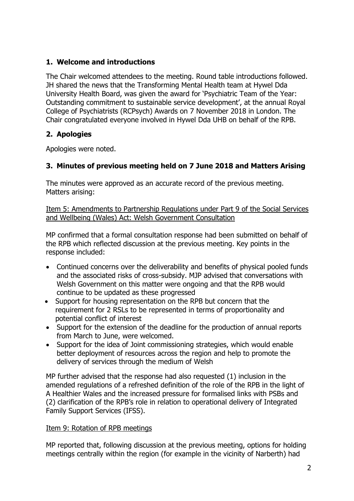## **1. Welcome and introductions**

The Chair welcomed attendees to the meeting. Round table introductions followed. JH shared the news that the Transforming Mental Health team at Hywel Dda University Health Board, was given the award for 'Psychiatric Team of the Year: Outstanding commitment to sustainable service development', at the annual Royal College of Psychiatrists (RCPsych) Awards on 7 November 2018 in London. The Chair congratulated everyone involved in Hywel Dda UHB on behalf of the RPB.

## **2. Apologies**

Apologies were noted.

## **3. Minutes of previous meeting held on 7 June 2018 and Matters Arising**

The minutes were approved as an accurate record of the previous meeting. Matters arising:

Item 5: Amendments to Partnership Regulations under Part 9 of the Social Services and Wellbeing (Wales) Act: Welsh Government Consultation

MP confirmed that a formal consultation response had been submitted on behalf of the RPB which reflected discussion at the previous meeting. Key points in the response included:

- Continued concerns over the deliverability and benefits of physical pooled funds and the associated risks of cross-subsidy. MJP advised that conversations with Welsh Government on this matter were ongoing and that the RPB would continue to be updated as these progressed
- Support for housing representation on the RPB but concern that the requirement for 2 RSLs to be represented in terms of proportionality and potential conflict of interest
- Support for the extension of the deadline for the production of annual reports from March to June, were welcomed.
- Support for the idea of Joint commissioning strategies, which would enable better deployment of resources across the region and help to promote the delivery of services through the medium of Welsh

MP further advised that the response had also requested (1) inclusion in the amended regulations of a refreshed definition of the role of the RPB in the light of A Healthier Wales and the increased pressure for formalised links with PSBs and (2) clarification of the RPB's role in relation to operational delivery of Integrated Family Support Services (IFSS).

### Item 9: Rotation of RPB meetings

MP reported that, following discussion at the previous meeting, options for holding meetings centrally within the region (for example in the vicinity of Narberth) had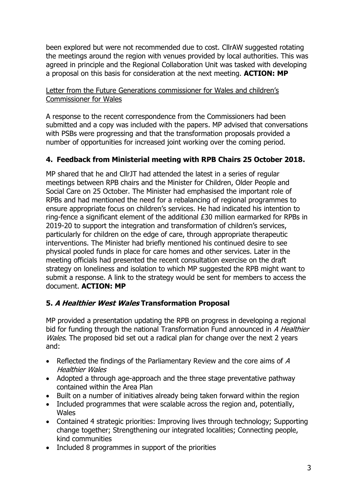been explored but were not recommended due to cost. CllrAW suggested rotating the meetings around the region with venues provided by local authorities. This was agreed in principle and the Regional Collaboration Unit was tasked with developing a proposal on this basis for consideration at the next meeting. **ACTION: MP**

#### Letter from the Future Generations commissioner for Wales and children's Commissioner for Wales

A response to the recent correspondence from the Commissioners had been submitted and a copy was included with the papers. MP advised that conversations with PSBs were progressing and that the transformation proposals provided a number of opportunities for increased joint working over the coming period.

## **4. Feedback from Ministerial meeting with RPB Chairs 25 October 2018.**

MP shared that he and CllrJT had attended the latest in a series of regular meetings between RPB chairs and the Minister for Children, Older People and Social Care on 25 October. The Minister had emphasised the important role of RPBs and had mentioned the need for a rebalancing of regional programmes to ensure appropriate focus on children's services. He had indicated his intention to ring-fence a significant element of the additional £30 million earmarked for RPBs in 2019-20 to support the integration and transformation of children's services, particularly for children on the edge of care, through appropriate therapeutic interventions. The Minister had briefly mentioned his continued desire to see physical pooled funds in place for care homes and other services. Later in the meeting officials had presented the recent consultation exercise on the draft strategy on loneliness and isolation to which MP suggested the RPB might want to submit a response. A link to the strategy would be sent for members to access the document. **ACTION: MP**

### **5. A Healthier West Wales Transformation Proposal**

MP provided a presentation updating the RPB on progress in developing a regional bid for funding through the national Transformation Fund announced in A Healthier Wales. The proposed bid set out a radical plan for change over the next 2 years and:

- Reflected the findings of the Parliamentary Review and the core aims of  $A$ Healthier Wales
- Adopted a through age-approach and the three stage preventative pathway contained within the Area Plan
- Built on a number of initiatives already being taken forward within the region
- Included programmes that were scalable across the region and, potentially, **Wales**
- Contained 4 strategic priorities: Improving lives through technology; Supporting change together; Strengthening our integrated localities; Connecting people, kind communities
- Included 8 programmes in support of the priorities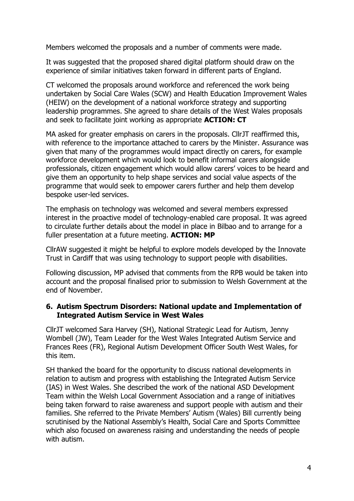Members welcomed the proposals and a number of comments were made.

It was suggested that the proposed shared digital platform should draw on the experience of similar initiatives taken forward in different parts of England.

CT welcomed the proposals around workforce and referenced the work being undertaken by Social Care Wales (SCW) and Health Education Improvement Wales (HEIW) on the development of a national workforce strategy and supporting leadership programmes. She agreed to share details of the West Wales proposals and seek to facilitate joint working as appropriate **ACTION: CT**

MA asked for greater emphasis on carers in the proposals. CllrJT reaffirmed this, with reference to the importance attached to carers by the Minister. Assurance was given that many of the programmes would impact directly on carers, for example workforce development which would look to benefit informal carers alongside professionals, citizen engagement which would allow carers' voices to be heard and give them an opportunity to help shape services and social value aspects of the programme that would seek to empower carers further and help them develop bespoke user-led services.

The emphasis on technology was welcomed and several members expressed interest in the proactive model of technology-enabled care proposal. It was agreed to circulate further details about the model in place in Bilbao and to arrange for a fuller presentation at a future meeting. **ACTION: MP**

CllrAW suggested it might be helpful to explore models developed by the Innovate Trust in Cardiff that was using technology to support people with disabilities.

Following discussion, MP advised that comments from the RPB would be taken into account and the proposal finalised prior to submission to Welsh Government at the end of November.

#### **6. Autism Spectrum Disorders: National update and Implementation of Integrated Autism Service in West Wales**

CllrJT welcomed Sara Harvey (SH), National Strategic Lead for Autism, Jenny Wombell (JW), Team Leader for the West Wales Integrated Autism Service and Frances Rees (FR), Regional Autism Development Officer South West Wales, for this item.

SH thanked the board for the opportunity to discuss national developments in relation to autism and progress with establishing the Integrated Autism Service (IAS) in West Wales. She described the work of the national ASD Development Team within the Welsh Local Government Association and a range of initiatives being taken forward to raise awareness and support people with autism and their families. She referred to the Private Members' Autism (Wales) Bill currently being scrutinised by the National Assembly's Health, Social Care and Sports Committee which also focused on awareness raising and understanding the needs of people with autism.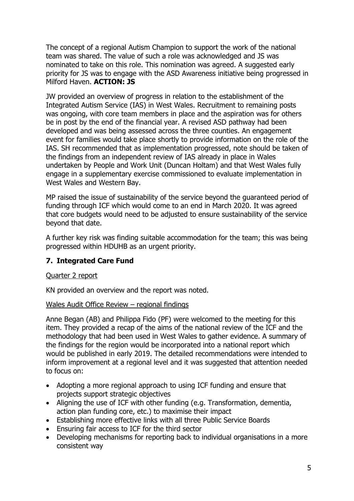The concept of a regional Autism Champion to support the work of the national team was shared. The value of such a role was acknowledged and JS was nominated to take on this role. This nomination was agreed. A suggested early priority for JS was to engage with the ASD Awareness initiative being progressed in Milford Haven. **ACTION: JS**

JW provided an overview of progress in relation to the establishment of the Integrated Autism Service (IAS) in West Wales. Recruitment to remaining posts was ongoing, with core team members in place and the aspiration was for others be in post by the end of the financial year. A revised ASD pathway had been developed and was being assessed across the three counties. An engagement event for families would take place shortly to provide information on the role of the IAS. SH recommended that as implementation progressed, note should be taken of the findings from an independent review of IAS already in place in Wales undertaken by People and Work Unit (Duncan Holtam) and that West Wales fully engage in a supplementary exercise commissioned to evaluate implementation in West Wales and Western Bay.

MP raised the issue of sustainability of the service beyond the guaranteed period of funding through ICF which would come to an end in March 2020. It was agreed that core budgets would need to be adjusted to ensure sustainability of the service beyond that date.

A further key risk was finding suitable accommodation for the team; this was being progressed within HDUHB as an urgent priority.

### **7. Integrated Care Fund**

### Quarter 2 report

KN provided an overview and the report was noted.

### Wales Audit Office Review – regional findings

Anne Began (AB) and Philippa Fido (PF) were welcomed to the meeting for this item. They provided a recap of the aims of the national review of the ICF and the methodology that had been used in West Wales to gather evidence. A summary of the findings for the region would be incorporated into a national report which would be published in early 2019. The detailed recommendations were intended to inform improvement at a regional level and it was suggested that attention needed to focus on:

- Adopting a more regional approach to using ICF funding and ensure that projects support strategic objectives
- Aligning the use of ICF with other funding (e.g. Transformation, dementia, action plan funding core, etc.) to maximise their impact
- Establishing more effective links with all three Public Service Boards
- Ensuring fair access to ICF for the third sector
- Developing mechanisms for reporting back to individual organisations in a more consistent way